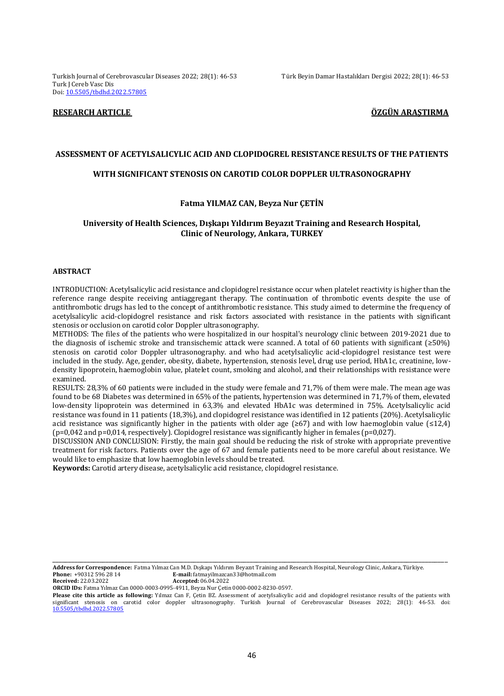Turkish Journal of Cerebrovascular Diseases 2022; 28(1): 46-53 Türk Beyin Damar Hastalıkları Dergisi 2022; 28(1): 46-53 Turk J Cereb Vasc Dis Doi[: 10.5505/tbdhd.2022.57805](https://dx.doi.org/10.5505/tbdhd.2022.57805)

# **RESEARCH ARTICLE ÖZGÜN ARAŞTIRMA**

#### **ASSESSMENT OF ACETYLSALICYLIC ACID AND CLOPIDOGREL RESISTANCE RESULTS OF THE PATIENTS**

### **WITH SIGNIFICANT STENOSIS ON CAROTID COLOR DOPPLER ULTRASONOGRAPHY**

### **Fatma YILMAZ CAN, Beyza Nur ÇETİN**

### **University of Health Sciences, Dışkapı Yıldırım Beyazıt Training and Research Hospital, Clinic of Neurology, Ankara, TURKEY**

#### **ABSTRACT**

INTRODUCTION: Acetylsalicylic acid resistance and clopidogrel resistance occur when platelet reactivity is higher than the reference range despite receiving antiaggregant therapy. The continuation of thrombotic events despite the use of antithrombotic drugs has led to the concept of antithrombotic resistance. This study aimed to determine the frequency of acetylsalicylic acid-clopidogrel resistance and risk factors associated with resistance in the patients with significant stenosis or occlusion on carotid color Doppler ultrasonography.

METHODS: The files of the patients who were hospitalized in our hospital's neurology clinic between 2019-2021 due to the diagnosis of ischemic stroke and transischemic attack were scanned. A total of 60 patients with significant (≥50%) stenosis on carotid color Doppler ultrasonography. and who had acetylsalicylic acid-clopidogrel resistance test were included in the study. Age, gender, obesity, diabete, hypertension, stenosis level, drug use period, HbA1c, creatinine, lowdensity lipoprotein, haemoglobin value, platelet count, smoking and alcohol, and their relationships with resistance were examined.

RESULTS: 28,3% of 60 patients were included in the study were female and 71,7% of them were male. The mean age was found to be 68 Diabetes was determined in 65% of the patients, hypertension was determined in 71,7% of them, elevated low-density lipoprotein was determined in 63,3% and elevated HbA1c was determined in 75%. Acetylsalicylic acid resistance was found in 11 patients (18,3%), and clopidogrel resistance was identified in 12 patients (20%). Acetylsalicylic acid resistance was significantly higher in the patients with older age ( $\geq 67$ ) and with low haemoglobin value ( $\leq 12.4$ ) (p=0,042 and p=0,014, respectively). Clopidogrel resistance was significantly higher in females (p=0,027).

DISCUSSION AND CONCLUSION: Firstly, the main goal should be reducing the risk of stroke with appropriate preventive treatment for risk factors. Patients over the age of 67 and female patients need to be more careful about resistance. We would like to emphasize that low haemoglobin levels should be treated.

**Keywords:** Carotid artery disease, acetylsalicylic acid resistance, clopidogrel resistance.

**Address for Correspondence:** Fatma Yılmaz Can M.D. Dışkapı Yıldırım Beyazıt Training and Research Hospital, Neurology Clinic, Ankara, Türkiye. **Phone:** +90312 596 28 14<br> **Received**: 22.03.2022<br> **Accepted:** 06.04.2022

**Received:** 22.03.2022 **Accepted:** 06.04.2022

**ORCID IDs:** Fatma Yılmaz Can 0000-0003-0995-4911, Beyza Nur Çetin 0000-0002-8230-0597.

**Please cite this article as following:** Yılmaz Can F, Çetin BZ. Assessment of acetylsalicylic acid and clopidogrel resistance results of the patients with significant stenosis on carotid color doppler ultrasonography. Turkish Journal of Cerebrovascular Diseases 2022; 28(1): 46-53. doi: [10.5505/tbdhd.2022.57805](https://dx.doi.org/10.5505/tbdhd.2022.63825)

\_\_\_\_\_\_\_\_\_\_\_\_\_\_\_\_\_\_\_\_\_\_\_\_\_\_\_\_\_\_\_\_\_\_\_\_\_\_\_\_\_\_\_\_\_\_\_\_\_\_\_\_\_\_\_\_\_\_\_\_\_\_\_\_\_\_\_\_\_\_\_\_\_\_\_\_\_\_\_\_\_\_\_\_\_\_\_\_\_\_\_\_\_\_\_\_\_\_\_\_\_\_\_\_\_\_\_\_\_\_\_\_\_\_\_\_\_\_\_\_\_\_\_\_\_\_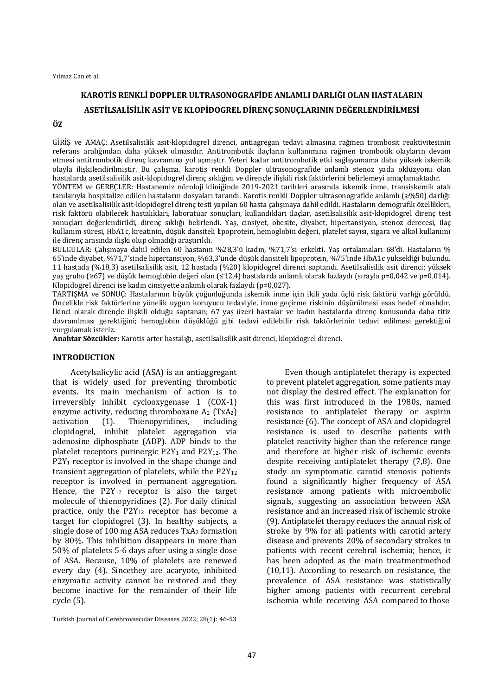Yılmaz Can et al.

# **KAROTİS RENKLİ DOPPLER ULTRASONOGRAFİDE ANLAMLI DARLIĞI OLAN HASTALARIN ASETİLSALİSİLİK ASİT VE KLOPİDOGREL DİRENÇ SONUÇLARININ DEĞERLENDİRİLMESİ**

#### **ÖZ**

GİRİŞ ve AMAÇ: Asetilsalisilik asit-klopidogrel direnci, antiagregan tedavi almasına rağmen trombosit reaktivitesinin referans aralığından daha yüksek olmasıdır. Antitrombotik ilaçların kullanımına rağmen trombotik olayların devam etmesi antitrombotik direnç kavramına yol açmıştır. Yeteri kadar antitrombotik etki sağlayamama daha yüksek iskemik olayla ilişkilendirilmiştir. Bu çalışma, karotis renkli Doppler ultrasonografide anlamlı stenoz yada oklüzyonu olan hastalarda asetilsalisilik asit-klopidogrel direnç sıklığını ve dirençle ilişkili risk faktörlerini belirlemeyi amaçlamaktadır. YÖNTEM ve GEREÇLER: Hastanemiz nöroloji kliniğinde 2019-2021 tarihleri arasında iskemik inme, transiskemik atak tanılarıyla hospitalize edilen hastaların dosyaları tarandı. Karotis renkli Doppler ultrasonografide anlamlı (≥%50) darlığı olan ve asetilsalisilik asit-klopidogrel direnç testi yapılan 60 hasta çalışmaya dahil edildi. Hastaların demografik özellikleri, risk faktörü olabilecek hastalıkları, laboratuar sonuçları, kullandıkları ilaçlar, asetilsalisilik asit-klopidogrel direnç test sonuçları değerlendirildi, direnç sıklığı belirlendi. Yaş, cinsiyet, obesite, diyabet, hipertansiyon, stenoz derecesi, ilaç kullanım süresi, HbA1c, kreatinin, düşük dansiteli lipoprotein, hemoglobin değeri, platelet sayısı, sigara ve alkol kullanımı ile direnç arasında ilişki olup olmadığı araştırıldı.

BULGULAR: Çalışmaya dahil edilen 60 hastanın %28,3'ü kadın, %71,7'si erkekti. Yaş ortalamaları 68'di. Hastaların % 65'inde diyabet, %71,7'sinde hipertansiyon, %63,3'ünde düşük dansiteli lipoprotein, %75'inde HbA1c yüksekliği bulundu. 11 hastada (%18,3) asetilsalisilik asit, 12 hastada (%20) klopidogrel direnci saptandı. Asetilsalisilik asit direnci; yüksek yaş grubu (≥67) ve düşük hemoglobin değeri olan (≤12,4) hastalarda anlamlı olarak fazlaydı (sırayla p=0,042 ve p=0,014). Klopidogrel direnci ise kadın cinsiyette anlamlı olarak fazlaydı (p=0,027).

TARTIŞMA ve SONUÇ: Hastalarının büyük çoğunluğunda iskemik inme için ikili yada üçlü risk faktörü varlığı görüldü. Öncelikle risk faktörlerine yönelik uygun koruyucu tedaviyle, inme geçirme riskinin düşürülmesi esas hedef olmalıdır. İkinci olarak dirençle ilişkili olduğu saptanan; 67 yaş üzeri hastalar ve kadın hastalarda direnç konusunda daha titiz davranılması gerektiğini; hemoglobin düşüklüğü gibi tedavi edilebilir risk faktörlerinin tedavi edilmesi gerektiğini vurgulamak isteriz.

**Anahtar Sözcükler:** Karotis arter hastalığı, asetilsalisilik asit direnci, klopidogrel direnci.

# **INTRODUCTION**

Acetylsalicylic acid (ASA) is an antiaggregant that is widely used for preventing thrombotic events. Its main mechanism of action is to irreversibly inhibit cyclooxygenase 1 (COX-1) enzyme activity, reducing thromboxane  $A_2$  (TxA<sub>2</sub>) activation (1). Thienopyridines, including clopidogrel, inhibit platelet aggregation via adenosine diphosphate (ADP). ADP binds to the platelet receptors purinergic  $P2Y_1$  and  $P2Y_{12}$ . The P2Y<sub>1</sub> receptor is involved in the shape change and transient aggregation of platelets, while the  $P2Y_{12}$ receptor is involved in permanent aggregation. Hence, the P2Y<sup>12</sup> receptor is also the target molecule of thienopyridines (2). For daily clinical practice, only the  $P2Y_{12}$  receptor has become a target for clopidogrel (3). In healthy subjects, a single dose of 100 mg ASA reduces TxA<sub>2</sub> formation by 80%. This inhibition disappears in more than 50% of platelets 5-6 days after using a single dose of ASA. Because, 10% of platelets are renewed every day (4). Sincethey are acaryote, inhibited enzymatic activity cannot be restored and they become inactive for the remainder of their life cycle (5).

Even though antiplatelet therapy is expected to prevent platelet aggregation, some patients may not display the desired effect. The explanation for this was first introduced in the 1980s, named resistance to antiplatelet therapy or aspirin resistance (6). The concept of ASA and clopidogrel resistance is used to describe patients with platelet reactivity higher than the reference range and therefore at higher risk of ischemic events despite receiving antiplatelet therapy (7,8). One study on symptomatic carotid stenosis patients found a significantly higher frequency of ASA resistance among patients with microembolic signals, suggesting an association between ASA resistance and an increased risk of ischemic stroke (9). Antiplatelet therapy reduces the annual risk of stroke by 9% for all patients with carotid artery disease and prevents 20% of secondary strokes in patients with recent cerebral ischemia; hence, it has been adopted as the main treatmentmethod (10,11). According to research on resistance, the prevalence of ASA resistance was statistically higher among patients with recurrent cerebral ischemia while receiving ASA compared to those

Turkish Journal of Cerebrovascular Diseases 2022; 28(1): 46-53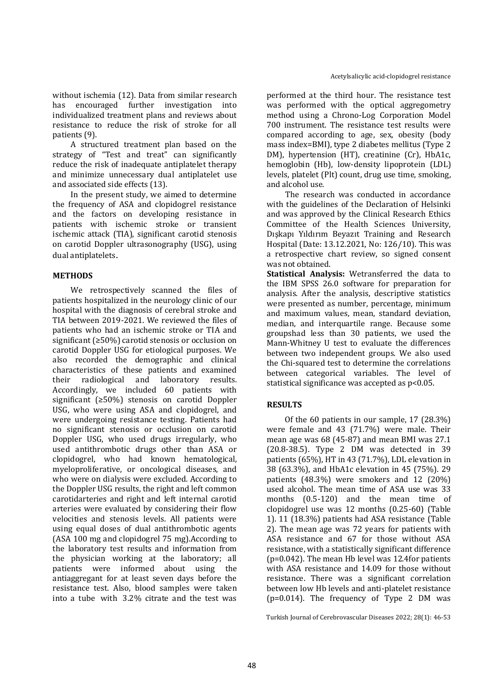without ischemia (12). Data from similar research has encouraged further investigation into individualized treatment plans and reviews about resistance to reduce the risk of stroke for all patients (9).

A structured treatment plan based on the strategy of "Test and treat" can significantly reduce the risk of inadequate antiplatelet therapy and minimize unnecessary dual antiplatelet use and associated side effects (13).

In the present study, we aimed to determine the frequency of ASA and clopidogrel resistance and the factors on developing resistance in patients with ischemic stroke or transient ischemic attack (TIA), significant carotid stenosis on carotid Doppler ultrasonography (USG), using dual antiplatelets.

# **METHODS**

We retrospectively scanned the files of patients hospitalized in the neurology clinic of our hospital with the diagnosis of cerebral stroke and TIA between 2019-2021. We reviewed the files of patients who had an ischemic stroke or TIA and significant (≥50%) carotid stenosis or occlusion on carotid Doppler USG for etiological purposes. We also recorded the demographic and clinical characteristics of these patients and examined their radiological and laboratory results. Accordingly, we included 60 patients with significant (≥50%) stenosis on carotid Doppler USG, who were using ASA and clopidogrel, and were undergoing resistance testing. Patients had no significant stenosis or occlusion on carotid Doppler USG, who used drugs irregularly, who used antithrombotic drugs other than ASA or clopidogrel, who had known hematological, myeloproliferative, or oncological diseases, and who were on dialysis were excluded. According to the Doppler USG results, the right and left common carotidarteries and right and left internal carotid arteries were evaluated by considering their flow velocities and stenosis levels. All patients were using equal doses of dual antithrombotic agents (ASA 100 mg and clopidogrel 75 mg).According to the laboratory test results and information from the physician working at the laboratory; all patients were informed about using the antiaggregant for at least seven days before the resistance test. Also, blood samples were taken into a tube with 3.2% citrate and the test was performed at the third hour. The resistance test was performed with the optical aggregometry method using a Chrono-Log Corporation Model 700 instrument. The resistance test results were compared according to age, sex, obesity (body mass index=BMI), type 2 diabetes mellitus (Type 2 DM), hypertension (HT), creatinine (Cr), HbA1c, hemoglobin (Hb), low-density lipoprotein (LDL) levels, platelet (Plt) count, drug use time, smoking, and alcohol use.

The research was conducted in accordance with the guidelines of the Declaration of Helsinki and was approved by the Clinical Research Ethics Committee of the Health Sciences University, Dışkapı Yıldırım Beyazıt Training and Research Hospital (Date: 13.12.2021, No: 126/10). This was a retrospective chart review, so signed consent was not obtained.

**Statistical Analysis:** Wetransferred the data to the IBM SPSS 26.0 software for preparation for analysis. After the analysis, descriptive statistics were presented as number, percentage, minimum and maximum values, mean, standard deviation, median, and interquartile range. Because some groupshad less than 30 patients, we used the Mann-Whitney U test to evaluate the differences between two independent groups. We also used the Chi-squared test to determine the correlations between categorical variables. The level of statistical significance was accepted as p<0.05.

# **RESULTS**

Of the 60 patients in our sample, 17 (28.3%) were female and 43 (71.7%) were male. Their mean age was 68 (45-87) and mean BMI was 27.1 (20.8-38.5). Type 2 DM was detected in 39 patients (65%), HT in 43 (71.7%), LDL elevation in 38 (63.3%), and HbA1c elevation in 45 (75%). 29 patients (48.3%) were smokers and 12 (20%) used alcohol. The mean time of ASA use was 33 months (0.5-120) and the mean time of clopidogrel use was 12 months (0.25-60) (Table 1). 11 (18.3%) patients had ASA resistance (Table 2). The mean age was 72 years for patients with ASA resistance and 67 for those without ASA resistance, with a statistically significant difference (p=0.042). The mean Hb level was 12.4for patients with ASA resistance and 14.09 for those without resistance. There was a significant correlation between low Hb levels and anti-platelet resistance (p=0.014). The frequency of Type 2 DM was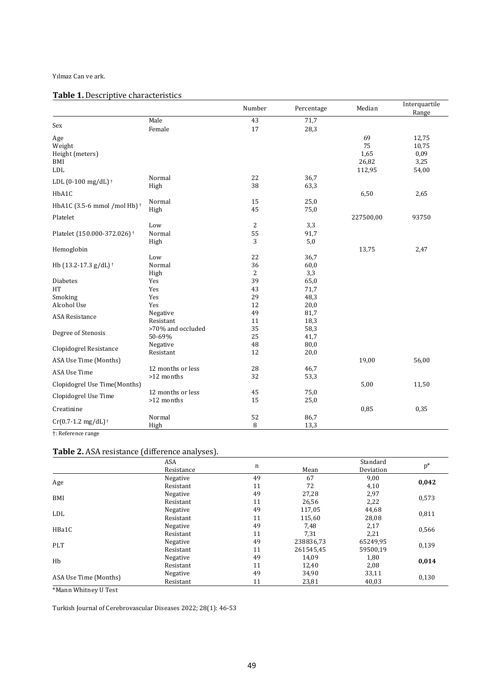#### Yılmaz Can ve ark.

# **Table 1.** Descriptive characteristics

|                                             |                       | Number         | Percentage   | Median    | Interquartile<br>Range |
|---------------------------------------------|-----------------------|----------------|--------------|-----------|------------------------|
|                                             | Male                  | 43             | 71,7         |           |                        |
| Sex                                         | Female                | 17             | 28,3         |           |                        |
| Age                                         |                       |                |              | 69        | 12,75                  |
| Weight                                      |                       |                |              | 75        | 10,75                  |
| Height (meters)                             |                       |                |              | 1,65      | 0,09                   |
| BMI                                         |                       |                |              | 26,82     | 3,25                   |
| <b>LDL</b>                                  |                       |                |              | 112,95    | 54,00                  |
| LDL $(0-100 \text{ mg/dL})$ <sup>+</sup>    | Normal                | 22             | 36,7         |           |                        |
|                                             | High                  | 38             | 63,3         |           |                        |
| HbA1C                                       |                       |                |              | 6,50      | 2,65                   |
| HbA1C (3.5-6 mmol /mol Hb) <sup>+</sup>     | Normal                | 15             | 25,0         |           |                        |
|                                             | High                  | 45             | 75,0         |           |                        |
| Platelet                                    |                       |                |              | 227500,00 | 93750                  |
|                                             | Low                   | $\overline{2}$ | 3,3          |           |                        |
| Platelet (150.000-372.026) <sup>+</sup>     | Normal                | 55             | 91,7         |           |                        |
|                                             | High                  | 3              | 5,0          |           |                        |
| Hemoglobin                                  |                       |                |              | 13,75     | 2,47                   |
|                                             | Low                   | 22             | 36,7         |           |                        |
| Hb (13.2-17.3 g/dL) <sup>+</sup>            | Normal                | 36             | 60,0         |           |                        |
|                                             | High                  | 2              | 3,3          |           |                        |
| <b>Diabetes</b>                             | Yes                   | 39             | 65,0         |           |                        |
| HT                                          | Yes                   | 43             | 71,7         |           |                        |
| Smoking                                     | Yes                   | 29             | 48,3         |           |                        |
| Alcohol Use                                 | Yes                   | 12             | 20,0         |           |                        |
| <b>ASA Resistance</b><br>Degree of Stenosis | Negative<br>Resistant | 49<br>11       | 81,7         |           |                        |
|                                             | >70% and occluded     | 35             | 18,3         |           |                        |
|                                             | 50-69%                | 25             | 58,3<br>41,7 |           |                        |
|                                             | Negative              | 48             | 80,0         |           |                        |
| Clopidogrel Resistance                      | Resistant             | 12             | 20,0         |           |                        |
| ASA Use Time (Months)                       |                       |                |              | 19,00     | 56,00                  |
|                                             | 12 months or less     | 28             | 46,7         |           |                        |
| ASA Use Time                                | >12 months            | 32             | 53,3         |           |                        |
| Clopidogrel Use Time(Months)                |                       |                |              | 5,00      | 11,50                  |
| Clopidogrel Use Time                        | 12 months or less     | 45             | 75,0         |           |                        |
|                                             | >12 months            | 15             | 25,0         |           |                        |
| Creatinine                                  |                       |                |              | 0,85      | 0,35                   |
| $Cr(0.7-1.2$ mg/dL) <sup>+</sup>            | Normal                | 52             | 86,7         |           |                        |
|                                             | High                  | 8              | 13,3         |           |                        |
| <sup>+</sup> : Reference range              |                       |                |              |           |                        |

# **Table 2.** ASA resistance (difference analyses).

|                       | ASA<br>Resistance | n  |           | Standard<br>Deviation | $p^*$ |
|-----------------------|-------------------|----|-----------|-----------------------|-------|
|                       |                   |    | Mean      |                       |       |
| Age                   | Negative          | 49 | 67        | 9,00                  | 0,042 |
|                       | Resistant         | 11 | 72        | 4,10                  |       |
| BMI                   | Negative          | 49 | 27,28     | 2,97                  | 0,573 |
|                       | Resistant         | 11 | 26,56     | 2,22                  |       |
| LDL                   | Negative          | 49 | 117,05    | 44,68                 | 0,811 |
|                       | Resistant         | 11 | 115.60    | 28,08                 |       |
| HBa1C                 | Negative          | 49 | 7,48      | 2,17                  | 0,566 |
|                       | Resistant         | 11 | 7,31      | 2,21                  |       |
| PLT                   | Negative          | 49 | 238836,73 | 65249,95              | 0,139 |
|                       | Resistant         | 11 | 261545,45 | 59500,19              |       |
| Hb                    | Negative          | 49 | 14,09     | 1,80                  | 0,014 |
|                       | Resistant         | 11 | 12,40     | 2,08                  |       |
| ASA Use Time (Months) | Negative          | 49 | 34,90     | 33.11                 | 0,130 |
|                       | Resistant         | 11 | 23,81     | 40,03                 |       |

\*Mann Whitney U Test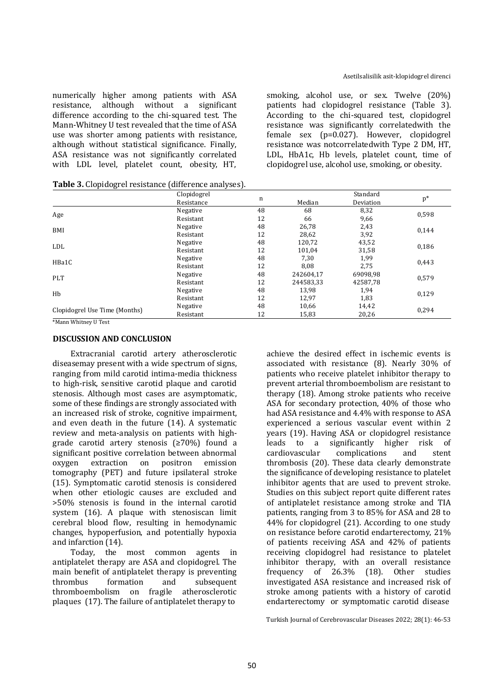numerically higher among patients with ASA resistance, although without a significant difference according to the chi-squared test. The Mann-Whitney U test revealed that the time of ASA use was shorter among patients with resistance, although without statistical significance. Finally, ASA resistance was not significantly correlated with LDL level, platelet count, obesity, HT,

smoking, alcohol use, or sex. Twelve (20%) patients had clopidogrel resistance (Table 3). According to the chi-squared test, clopidogrel resistance was significantly correlatedwith the female sex (p=0.027). However, clopidogrel resistance was notcorrelatedwith Type 2 DM, HT, LDL, HbA1c, Hb levels, platelet count, time of clopidogrel use, alcohol use, smoking, or obesity.

**Table 3.** Clopidogrel resistance (difference analyses).

|                               | Clopidogrel<br>Resistance | $\mathbf n$ | Median    | Standard<br>Deviation | $\mathbf{p}^*$ |
|-------------------------------|---------------------------|-------------|-----------|-----------------------|----------------|
|                               | Negative                  | 48          | 68        | 8,32                  | 0,598          |
| Age                           | Resistant                 | 12          | 66        | 9,66                  |                |
| BMI                           | Negative                  | 48          | 26,78     | 2,43                  | 0,144          |
|                               | Resistant                 | 12          | 28,62     | 3,92                  |                |
| <b>LDL</b>                    | Negative                  | 48          | 120,72    | 43,52                 | 0,186          |
|                               | Resistant                 | 12          | 101,04    | 31,58                 |                |
| HBa1C                         | Negative                  | 48          | 7,30      | 1,99                  | 0,443          |
|                               | Resistant                 | 12          | 8.08      | 2,75                  |                |
| <b>PLT</b>                    | Negative                  | 48          | 242604,17 | 69098,98              | 0,579          |
|                               | Resistant                 | 12          | 244583,33 | 42587,78              |                |
|                               | Negative                  | 48          | 13,98     | 1,94                  | 0,129          |
| Hb                            | Resistant                 | 12          | 12,97     | 1,83                  |                |
|                               | Negative                  | 48          | 10,66     | 14,42                 | 0,294          |
| Clopidogrel Use Time (Months) | Resistant                 | 12          | 15,83     | 20,26                 |                |

\*Mann Whitney U Test

#### **DISCUSSION AND CONCLUSION**

Extracranial carotid artery atherosclerotic diseasemay present with a wide spectrum of signs, ranging from mild carotid intima-media thickness to high-risk, sensitive carotid plaque and carotid stenosis. Although most cases are asymptomatic, some of these findings are strongly associated with an increased risk of stroke, cognitive impairment, and even death in the future (14). A systematic review and meta-analysis on patients with highgrade carotid artery stenosis (≥70%) found a significant positive correlation between abnormal oxygen extraction on positron emission tomography (PET) and future ipsilateral stroke (15). Symptomatic carotid stenosis is considered when other etiologic causes are excluded and >50% stenosis is found in the internal carotid system (16). A plaque with stenosiscan limit cerebral blood flow, resulting in hemodynamic changes, hypoperfusion, and potentially hypoxia and infarction (14).

Today, the most common agents in antiplatelet therapy are ASA and clopidogrel. The main benefit of antiplatelet therapy is preventing thrombus formation and subsequent thromboembolism on fragile atherosclerotic plaques (17). The failure of antiplatelet therapy to

achieve the desired effect in ischemic events is associated with resistance (8). Nearly 30% of patients who receive platelet inhibitor therapy to prevent arterial thromboembolism are resistant to therapy (18). Among stroke patients who receive ASA for secondary protection, 40% of those who had ASA resistance and 4.4% with response to ASA experienced a serious vascular event within 2 years (19). Having ASA or clopidogrel resistance leads to a significantly higher risk of cardiovascular complications and stent thrombosis (20). These data clearly demonstrate the significance of developing resistance to platelet inhibitor agents that are used to prevent stroke. Studies on this subject report quite different rates of antiplatelet resistance among stroke and TIA patients, ranging from 3 to 85% for ASA and 28 to 44% for clopidogrel (21). According to one study on resistance before carotid endarterectomy, 21% of patients receiving ASA and 42% of patients receiving clopidogrel had resistance to platelet inhibitor therapy, with an overall resistance frequency of 26.3% (18). Other studies investigated ASA resistance and increased risk of stroke among patients with a history of carotid endarterectomy or symptomatic carotid disease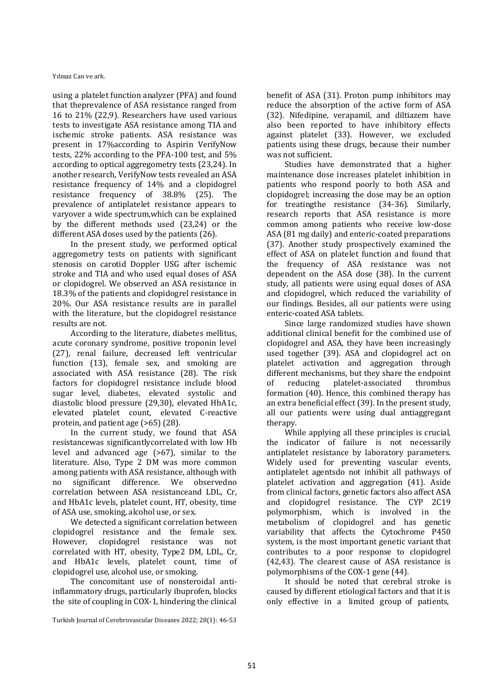Yılmaz Can ve ark.

using a platelet function analyzer (PFA) and found that theprevalence of ASA resistance ranged from 16 to 21% (22,9). Researchers have used various tests to investigate ASA resistance among TIA and ischemic stroke patients. ASA resistance was present in 17%according to Aspirin VerifyNow tests, 22% according to the PFA-100 test, and 5% according to optical aggregometry tests (23,24). In another research, VerifyNow tests revealed an ASA resistance frequency of 14% and a clopidogrel resistance frequency of 38.8% (25). The prevalence of antiplatelet resistance appears to varyover a wide spectrum,which can be explained by the different methods used (23,24) or the different ASA doses used by the patients (26).

In the present study, we performed optical aggregometry tests on patients with significant stenosis on carotid Doppler USG after ischemic stroke and TIA and who used equal doses of ASA or clopidogrel. We observed an ASA resistance in 18.3% of the patients and clopidogrel resistance in 20%. Our ASA resistance results are in parallel with the literature, but the clopidogrel resistance results are not.

According to the literature, diabetes mellitus, acute coronary syndrome, positive troponin level (27), renal failure, decreased left ventricular function (13), female sex, and smoking are associated with ASA resistance (28). The risk factors for clopidogrel resistance include blood sugar level, diabetes, elevated systolic and diastolic blood pressure (29,30), elevated HbA1c, elevated platelet count, elevated C-reactive protein, and patient age (>65) (28).

In the current study, we found that ASA resistancewas significantlycorrelated with low Hb level and advanced age (>67), similar to the literature. Also, Type 2 DM was more common among patients with ASA resistance, although with no significant difference. We observedno correlation between ASA resistanceand LDL, Cr, and HbA1c levels, platelet count, HT, obesity, time of ASA use, smoking, alcohol use, or sex.

We detected a significant correlation between clopidogrel resistance and the female sex. However, clopidogrel resistance was not correlated with HT, obesity, Type2 DM, LDL, Cr, and HbA1c levels, platelet count, time of clopidogrel use, alcohol use, or smoking.

The concomitant use of nonsteroidal antiinflammatory drugs, particularly ibuprofen, blocks the site of coupling in COX-1, hindering the clinical

Turkish Journal of Cerebrovascular Diseases 2022; 28(1): 46-53

benefit of ASA (31). Proton pump inhibitors may reduce the absorption of the active form of ASA (32). Nifedipine, verapamil, and diltiazem have also been reported to have inhibitory effects against platelet (33). However, we excluded patients using these drugs, because their number was not sufficient.

Studies have demonstrated that a higher maintenance dose increases platelet inhibition in patients who respond poorly to both ASA and clopidogrel; increasing the dose may be an option for treatingthe resistance (34-36). Similarly, research reports that ASA resistance is more common among patients who receive low-dose ASA (81 mg daily) and enteric-coated preparations (37). Another study prospectively examined the effect of ASA on platelet function and found that the frequency of ASA resistance was not dependent on the ASA dose (38). In the current study, all patients were using equal doses of ASA and clopidogrel, which reduced the variability of our findings. Besides, all our patients were using enteric-coated ASA tablets.

Since large randomized studies have shown additional clinical benefit for the combined use of clopidogrel and ASA, they have been increasingly used together (39). ASA and clopidogrel act on platelet activation and aggregation through different mechanisms, but they share the endpoint of reducing platelet-associated thrombus formation (40). Hence, this combined therapy has an extra beneficial effect (39). In the present study, all our patients were using dual antiaggregant therapy.

While applying all these principles is crucial, the indicator of failure is not necessarily antiplatelet resistance by laboratory parameters. Widely used for preventing vascular events, antiplatelet agentsdo not inhibit all pathways of platelet activation and aggregation (41). Aside from clinical factors, genetic factors also affect ASA and clopidogrel resistance. The CYP 2C19 polymorphism, which is involved in the metabolism of clopidogrel and has genetic variability that affects the Cytochrome P450 system, is the most important genetic variant that contributes to a poor response to clopidogrel (42,43). The clearest cause of ASA resistance is polymorphisms of the COX-1 gene (44).

It should be noted that cerebral stroke is caused by different etiological factors and that it is only effective in a limited group of patients,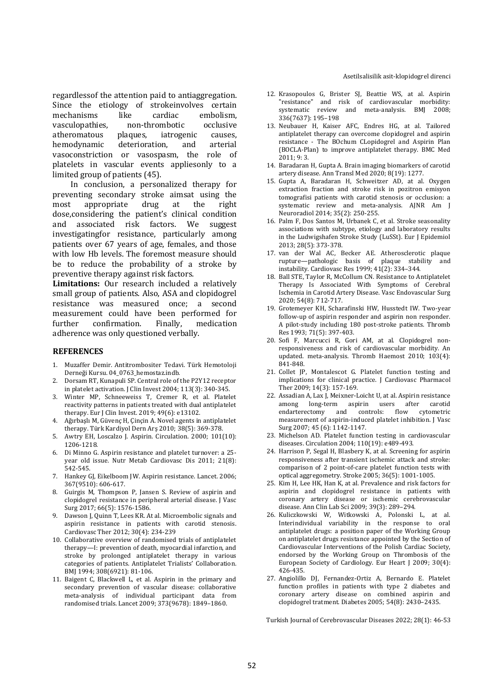Asetilsalisilik asit-klopidogrel direnci

regardlessof the attention paid to antiaggregation. Since the etiology of strokeinvolves certain mechanisms like cardiac embolism, vasculopathies, non-thrombotic occlusive atheromatous plaques, iatrogenic causes, hemodynamic deterioration, and arterial vasoconstriction or vasospasm, the role of platelets in vascular events appliesonly to a limited group of patients (45).

In conclusion, a personalized therapy for preventing secondary stroke aimsat using the most appropriate drug at the right dose,considering the patient's clinical condition and associated risk factors. We suggest investigatingfor resistance, particularly among patients over 67 years of age, females, and those with low Hb levels. The foremost measure should be to reduce the probability of a stroke by preventive therapy against risk factors.

**Limitations:** Our research included a relatively small group of patients. Also, ASA and clopidogrel resistance was measured once; a second measurement could have been performed for further confirmation. Finally, medication adherence was only questioned verbally.

#### **REFERENCES**

- 1. Muzaffer Demir. Antitrombositer Tedavi. Türk Hemotoloji Derneği Kursu. 04\_0763\_hemostaz.indb.
- 2. Dorsam RT, Kunapuli SP. Central role of the P2Y12 receptor in platelet activation. J Clin Invest 2004; 113(3): 340-345.
- 3. Winter MP, Schneeweiss T, Cremer R, et al. Platelet reactivity patterns in patients treated with dual antiplatelet therapy. Eur J Clin Invest. 2019; 49(6): e13102.
- 4. Ağırbaşlı M, Güvenç H, Çinçin A. Novel agents in antiplatelet therapy. Türk Kardiyol Dern Arş 2010; 38(5): 369-378.
- 5. Awtry EH, Loscalzo J. Aspirin. Circulation. 2000; 101(10): 1206-1218.
- 6. Di Minno G. Aspirin resistance and platelet turnover: a 25 year old issue. Nutr Metab Cardiovasc Dis 2011; 21(8): 542-545.
- 7. Hankey GJ, Eikelboom JW. Aspirin resistance. Lancet. 2006; 367(9510): 606-617.
- 8. Guirgis M, Thompson P, Jansen S. Review of aspirin and clopidogrel resistance in peripheral arterial disease. J Vasc Surg 2017; 66(5): 1576-1586.
- 9. Dawson J, Quinn T, Lees KR. At al. Microembolic signals and aspirin resistance in patients with carotid stenosis. Cardiovasc Ther 2012; 30(4): 234-239
- 10. Collaborative overview of randomised trials of antiplatelet therapy—I: prevention of death, myocardial infarction, and stroke by prolonged antiplatelet therapy in various categories of patients. Antiplatelet Trialists' Collaboration. BMJ 1994; 308(6921): 81-106.
- 11. Baigent C, Blackwell L, et al. Aspirin in the primary and secondary prevention of vascular disease: collaborative meta-analysis of individual participant data from randomised trials. Lancet 2009; 373(9678): 1849–1860.
- 12. Krasopoulos G, Brister SJ, Beattie WS, at al. Aspirin "resistance" and risk of cardiovascular morbidity: systematic review and meta-analysis. BMJ 2008; 336(7637): 195–198
- 13. Neubauer H, Kaiser AFC, Endres HG, at al. Tailored antiplatelet therapy can overcome clopidogrel and aspirin resistance - The BOchum CLopidogrel and Aspirin Plan (BOCLA-Plan) to improve antiplatelet therapy. BMC Med 2011; 9: 3.
- 14. Baradaran H, Gupta A. Brain imaging biomarkers of carotid artery disease. Ann Transl Med 2020; 8(19): 1277.
- 15. Gupta A, Baradaran H, Schweitzer AD, at al. Oxygen extraction fraction and stroke risk in pozitron emisyon tomografisi patients with carotid stenosis or occlusion: a systematic review and meta-analysis. AJNR Am J Neuroradiol 2014; 35(2): 250-255.
- 16. Palm F, Dos Santos M, Urbanek C, et al. Stroke seasonality associations with subtype, etiology and laboratory results in the Ludwigshafen Stroke Study (LuSSt). Eur J Epidemiol 2013; 28(5): 373-378.
- 17. van der Wal AC, Becker AE. Atherosclerotic plaque rupture—pathologic basis of plaque stability and instability. Cardiovasc Res 1999; 41(2): 334–344.
- 18. Ball STE, Taylor R, McCollum CN. Resistance to Antiplatelet Therapy Is Associated With Symptoms of Cerebral Ischemia in Carotid Artery Disease. Vasc Endovascular Surg 2020; 54(8): 712-717.
- 19. Grotemeyer KH, Scharafinski HW, Husstedt IW. Two-year follow-up of aspirin responder and aspirin non responder. A pilot-study including 180 post-stroke patients. Thromb Res 1993; 71(5): 397-403.
- 20. Sofi F, Marcucci R, Gori AM, at al. Clopidogrel nonresponsiveness and risk of cardiovascular morbidity. An updated. meta-analysis. Thromb Haemost 2010; 103(4): 841-848.
- 21. Collet JP, Montalescot G. Platelet function testing and implications for clinical practice. J Cardiovasc Pharmacol Ther 2009; 14(3): 157-169.
- 22. Assadian A, Lax J, Meixner-Loicht U, at al. Aspirin resistance among long-term aspirin users after carotid<br>endarterectomy and controls: flow cytometric endarterectomy and controls: measurement of aspirin-induced platelet inhibition. J Vasc Surg 2007; 45 (6): 1142-1147.
- 23. Michelson AD. Platelet function testing in cardiovascular diseases. Circulation 2004; 110(19): e489-493.
- 24. Harrison P, Segal H, Blasbery K, at al. Screening for aspirin responsiveness after transient ischemic attack and stroke: comparison of 2 point-of-care platelet function tests with optical aggregometry. Stroke 2005; 36(5): 1001-1005.
- 25. Kim H, Lee HK, Han K, at al. Prevalence and risk factors for aspirin and clopidogrel resistance in patients with coronary artery disease or ischemic cerebrovascular disease. Ann Clin Lab Sci 2009; 39(3): 289–294.
- 26. Kuliczkowski W, Witkowski A, Polonski L, at al. Interindividual variability in the response to oral antiplatelet drugs: a position paper of the Working Group on antiplatelet drugs resistance appointed by the Section of Cardiovascular Interventions of the Polish Cardiac Society, endorsed by the Working Group on Thrombosis of the European Society of Cardiology. Eur Heart J 2009; 30(4): 426-435.
- 27. Angiolillo DJ, Fernandez-Ortiz A, Bernardo E. Platelet function profiles in patients with type 2 diabetes and coronary artery disease on combined aspirin and clopidogrel tratment. Diabetes 2005; 54(8): 2430–2435.